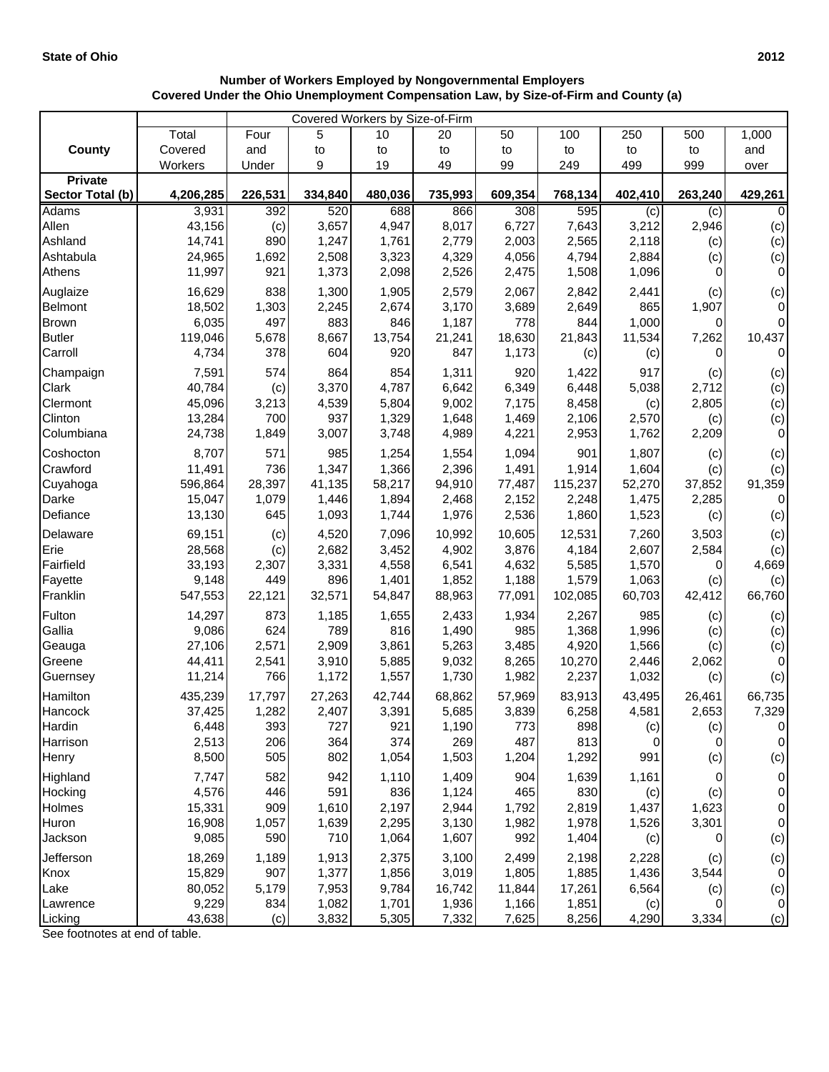|                  | Covered Under the Ohio Unemployment Compensation Law, by Size-of-Firm and County (a) |         |         | Number of workers Employed by Nongovernmental Employers |         |         |         |         |         |          |
|------------------|--------------------------------------------------------------------------------------|---------|---------|---------------------------------------------------------|---------|---------|---------|---------|---------|----------|
|                  |                                                                                      |         |         | Covered Workers by Size-of-Firm                         |         |         |         |         |         |          |
|                  | Total                                                                                | Four    | 5       | 10                                                      | 20      | 50      | 100     | 250     | 500     | 1,000    |
| <b>County</b>    | Covered                                                                              | and     | to      | to                                                      | to      | to      | to      | to      | to      | and      |
|                  | Workers                                                                              | Under   | 9       | 19                                                      | 49      | 99      | 249     | 499     | 999     | over     |
| Private          |                                                                                      |         |         |                                                         |         |         |         |         |         |          |
| Sector Total (b) | 4,206,285                                                                            | 226,531 | 334,840 | 480,036                                                 | 735,993 | 609,354 | 768,134 | 402,410 | 263,240 | 429,261  |
| Adams            | 3,931                                                                                | 392     | 520     | 688                                                     | 866     | 308     | 595     | (c)     | (c)     | 0        |
| Allen            | 43,156                                                                               | (c)     | 3,657   | 4,947                                                   | 8,017   | 6,727   | 7,643   | 3,212   | 2,946   | (c)      |
| Ashland          | 14,741                                                                               | 890     | 1,247   | 1,761                                                   | 2,779   | 2,003   | 2,565   | 2,118   | (c)     | (c)      |
| Ashtabula        | 24,965                                                                               | 1,692   | 2,508   | 3,323                                                   | 4,329   | 4,056   | 4,794   | 2,884   | (c)     | (c)      |
| Athens           | 11,997                                                                               | 921     | 1,373   | 2,098                                                   | 2,526   | 2,475   | 1,508   | 1,096   | 0       | $\Omega$ |
| Auglaize         | 16,629                                                                               | 838     | 1,300   | 1,905                                                   | 2,579   | 2,067   | 2,842   | 2,441   | (c)     | (c)      |
| Belmont          | 18,502                                                                               | 1,303   | 2,245   | 2,674                                                   | 3,170   | 3,689   | 2,649   | 865     | 1,907   | 0        |
| Brown            | 6,035                                                                                | 497     | 883     | 846                                                     | 1,187   | 778     | 844     | 1,000   | 0       | 0        |
| <b>Butler</b>    | 119,046                                                                              | 5,678   | 8,667   | 13,754                                                  | 21,241  | 18,630  | 21,843  | 11,534  | 7,262   | 10,437   |
| Carroll          | 4,734                                                                                | 378     | 604     | 920                                                     | 847     | 1,173   | (c)     | (c)     | 0       | 0        |
| Champaign        | 7,591                                                                                | 574     | 864     | 854                                                     | 1,311   | 920     | 1,422   | 917     | (c)     | (c)      |
| Clark            | 40,784                                                                               | (c)     | 3,370   | 4,787                                                   | 6,642   | 6,349   | 6,448   | 5,038   | 2,712   | (c)      |
| Clermont         | 45,096                                                                               | 3,213   | 4,539   | 5,804                                                   | 9,002   | 7,175   | 8,458   | (c)     | 2,805   | (c)      |
| Clinton          | 13,284                                                                               | 700     | 937     | 1,329                                                   | 1,648   | 1,469   | 2,106   | 2,570   | (c)     | (c)      |
| Columbiana       | 24,738                                                                               | 1,849   | 3,007   | 3,748                                                   | 4,989   | 4,221   | 2,953   | 1,762   | 2,209   | 0        |
| Coshocton        | 8,707                                                                                | 571     | 985     | 1,254                                                   | 1,554   | 1,094   | 901     | 1,807   | (c)     | (c)      |
| Crawford         | 11,491                                                                               | 736     | 1,347   | 1,366                                                   | 2,396   | 1,491   | 1,914   | 1,604   | (c)     | (c)      |

Cuyahoga | 596,864| 28,397| 41,135| 58,217| 94,910| 77,487| 115,237| 52,270| 37,852| 91,359 Darke | 15,047| 1,079| 1,446| 1,894| 2,468| 2,152| 2,248| 1,475| 2,285| 0 Defiance | 13,130 645 1,093 1,744 1,976 2,536 1,860 1,523 (c) (c) Delaware 69,151 (c) 4,520 7,096 10,992 10,605 12,531 7,260 3,503 (c) Erie 28,568 (c) 2,682 3,452 4,902 3,876 4,184 2,607 2,584 (c) Fairfield 33,193 2,307 3,331 4,558 6,541 4,632 5,585 1,570 0 4,669 Fayette 9,148 449 896 1,401 1,852 1,188 1,579 1,063 (c) (c) Franklin 547,553 22,121 32,571 54,847 88,963 77,091 102,085 60,703 42,412 66,760 Fulton 14,297 873 1,185 1,655 2,433 1,934 2,267 985 (c) (c) Gallia 9,086| 624| 789| 816| 1,490| 985| 1,368| 1,996| (c)| (c) Geauga | 27,106| 2,571| 2,909| 3,861| 5,263| 3,485| 4,920| 1,566| (c)| (c) Greene | 44,411| 2,541| 3,910| 5,885| 9,032| 8,265| 10,270| 2,446| 2,062| 0 Guernsey | 11,214| 766| 1,172| 1,557| 1,730| 1,982| 2,237| 1,032| (c)| (c) Hamilton 435,239 17,797 27,263 42,744 68,862 57,969 83,913 43,495 26,461 66,735 Hancock 37,425 1,282 2,407 3,391 5,685 3,839 6,258 4,581 2,653 7,329 Hardin | 6,448| 393| 727| 921| 1,190| 773| 898| (c)| (c)| 0 Harrison | 2,513| 206| 364| 374| 269| 487| 813| 0| 0| 0 Henry 8,500 505 802 1,054 1,503 1,204 1,292 991 (c) (c) Highland | 7,747| 582| 942| 1,110| 1,409| 904| 1,639| 1,161| 0| 0 Hocking | 4,576| 446| 591| 836| 1,124| 465| 830| (c)| (c)| 0 Holmes | 15,331| 909| 1,610| 2,197| 2,944| 1,792| 2,819| 1,437| 1,623| 0 Huron 16,908| 1,057| 1,639| 2,295| 3,130| 1,982| 1,978| 1,526| 3,301| 0 Jackson 9,085 590 710 1,064 1,607 992 1,404 (c) 0 (c) Jefferson | 18,269 1,189 1,913 2,375 3,100 2,499 2,198 2,228 (c) (c) Knox 15,829 907 1,377 1,856 3,019 1,805 1,885 1,436 3,544 0 Lake 80,052 5,179 7,953 9,784 16,742 11,844 17,261 6,564 (c) (c) Lawrence | 9,229| 834| 1,082| 1,701| 1,936| 1,166| 1,851| (c)| 0| 0

| <b>Number of Workers Employed by Nongovernmental Employers</b>                      |  |
|-------------------------------------------------------------------------------------|--|
| Covered Under the Ohio Unemployment Compensation Law, by Size-of-Firm and County (a |  |

Licking 43,638 (c) 3,832 5,305 7,332 7,625 8,256 4,290 3,334 (c) See footnotes at end of table.